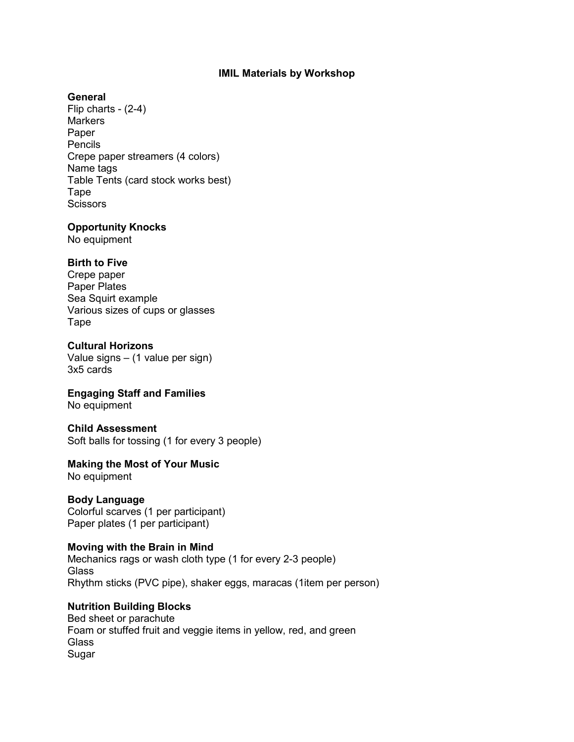## **IMIL Materials by Workshop**

#### **General**

Flip charts - (2-4) **Markers** Paper Pencils Crepe paper streamers (4 colors) Name tags Table Tents (card stock works best) Tape **Scissors** 

#### **Opportunity Knocks**

No equipment

# **Birth to Five**

Crepe paper Paper Plates Sea Squirt example Various sizes of cups or glasses Tape

# **Cultural Horizons**

Value signs – (1 value per sign) 3x5 cards

# **Engaging Staff and Families**

No equipment

#### **Child Assessment**

Soft balls for tossing (1 for every 3 people)

# **Making the Most of Your Music**

No equipment

#### **Body Language** Colorful scarves (1 per participant) Paper plates (1 per participant)

# **Moving with the Brain in Mind**

Mechanics rags or wash cloth type (1 for every 2-3 people) **Glass** Rhythm sticks (PVC pipe), shaker eggs, maracas (1item per person)

# **Nutrition Building Blocks**

Bed sheet or parachute Foam or stuffed fruit and veggie items in yellow, red, and green **Glass** Sugar